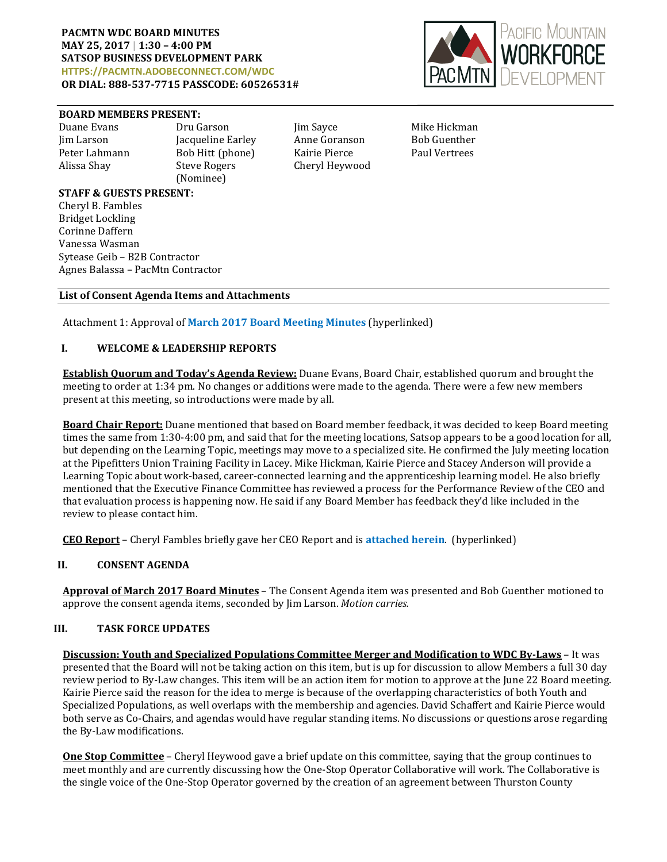

#### **BOARD MEMBERS PRESENT:**

Peter Lahmann Bob Hitt (phone)<br>Alissa Shay Steve Rogers (Nominee)

Duane Evans Dru Garson Jim Sayce Mike Hickman Jim Larson Jacqueline Earley Anne Goranson Bob Guenther Cheryl Heywood

### **STAFF & GUESTS PRESENT:**

Cheryl B. Fambles Bridget Lockling Corinne Daffern Vanessa Wasman Sytease Geib – B2B Contractor Agnes Balassa – PacMtn Contractor

### **List of Consent Agenda Items and Attachments**

Attachment 1: Approval of **March 2017 [Board Meeting Minutes](http://www.pacmtn.org/wp-content/uploads/WDCBoardMinutes3.23.17-final.pdf)** [\(hyperlinked\)](http://www.pacmtn.org/wp-content/uploads/WDCBoardMinutes3.23.17-final.pdf)

## **I. WELCOME & LEADERSHIP REPORTS**

**Establish Quorum and Today's Agenda Review:** Duane Evans, Board Chair, established quorum and brought the meeting to order at 1:34 pm. No changes or additions were made to the agenda. There were a few new members present at this meeting, so introductions were made by all.

**Board Chair Report:** Duane mentioned that based on Board member feedback, it was decided to keep Board meeting times the same from 1:30-4:00 pm, and said that for the meeting locations, Satsop appears to be a good location for all, but depending on the Learning Topic, meetings may move to a specialized site. He confirmed the July meeting location at the Pipefitters Union Training Facility in Lacey. Mike Hickman, Kairie Pierce and Stacey Anderson will provide a Learning Topic about work-based, career-connected learning and the apprenticeship learning model. He also briefly mentioned that the Executive Finance Committee has reviewed a process for the Performance Review of the CEO and that evaluation process is happening now. He said if any Board Member has feedback they'd like included in the review to please contact him.

**CEO Report** – Cheryl Fambles briefly gave her CEO Report and is **[attached herein](http://www.pacmtn.org/wp-content/uploads/CEO-Report-Packet-4.pdf)**. (hyperlinked)

# **II. CONSENT AGENDA**

**Approval of March 2017 Board Minutes** – The Consent Agenda item was presented and Bob Guenther motioned to approve the consent agenda items, seconded by Jim Larson. *Motion carries.*

### **III. TASK FORCE UPDATES**

**Discussion: Youth and Specialized Populations Committee Merger and Modification to WDC By-Laws** – It was presented that the Board will not be taking action on this item, but is up for discussion to allow Members a full 30 day review period to By-Law changes. This item will be an action item for motion to approve at the June 22 Board meeting. Kairie Pierce said the reason for the idea to merge is because of the overlapping characteristics of both Youth and Specialized Populations, as well overlaps with the membership and agencies. David Schaffert and Kairie Pierce would both serve as Co-Chairs, and agendas would have regular standing items. No discussions or questions arose regarding the By-Law modifications.

**One Stop Committee** – Cheryl Heywood gave a brief update on this committee, saying that the group continues to meet monthly and are currently discussing how the One-Stop Operator Collaborative will work. The Collaborative is the single voice of the One-Stop Operator governed by the creation of an agreement between Thurston County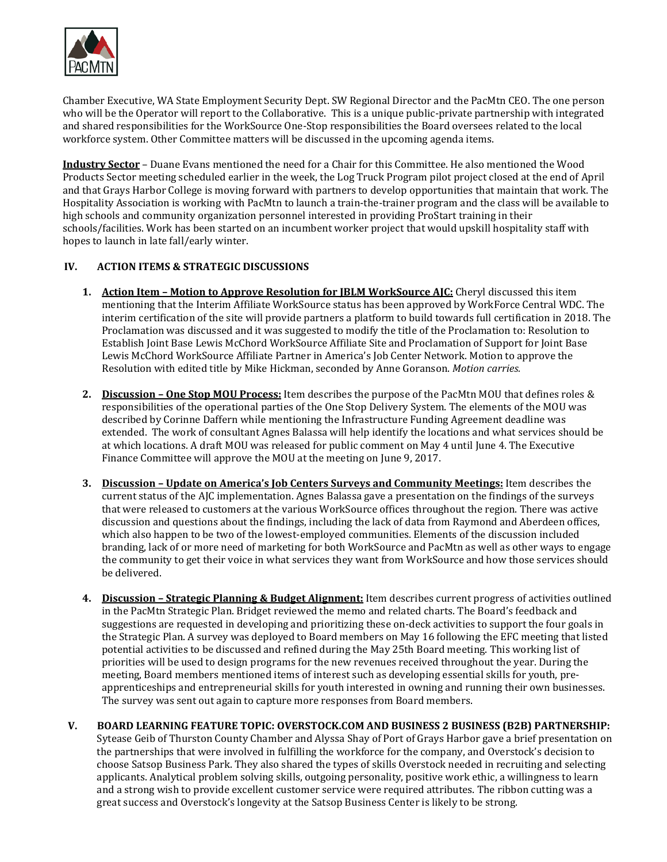

Chamber Executive, WA State Employment Security Dept. SW Regional Director and the PacMtn CEO. The one person who will be the Operator will report to the Collaborative. This is a unique public-private partnership with integrated and shared responsibilities for the WorkSource One-Stop responsibilities the Board oversees related to the local workforce system. Other Committee matters will be discussed in the upcoming agenda items.

**Industry Sector** – Duane Evans mentioned the need for a Chair for this Committee. He also mentioned the Wood Products Sector meeting scheduled earlier in the week, the Log Truck Program pilot project closed at the end of April and that Grays Harbor College is moving forward with partners to develop opportunities that maintain that work. The Hospitality Association is working with PacMtn to launch a train-the-trainer program and the class will be available to high schools and community organization personnel interested in providing ProStart training in their schools/facilities. Work has been started on an incumbent worker project that would upskill hospitality staff with hopes to launch in late fall/early winter.

# **IV. ACTION ITEMS & STRATEGIC DISCUSSIONS**

- **1. Action Item – Motion to Approve Resolution for JBLM WorkSource AJC:** Cheryl discussed this item mentioning that the Interim Affiliate WorkSource status has been approved by WorkForce Central WDC. The interim certification of the site will provide partners a platform to build towards full certification in 2018. The Proclamation was discussed and it was suggested to modify the title of the Proclamation to: Resolution to Establish Joint Base Lewis McChord WorkSource Affiliate Site and Proclamation of Support for Joint Base Lewis McChord WorkSource Affiliate Partner in America's Job Center Network. Motion to approve the Resolution with edited title by Mike Hickman, seconded by Anne Goranson. *Motion carries.*
- **2. Discussion – One Stop MOU Process:** Item describes the purpose of the PacMtn MOU that defines roles & responsibilities of the operational parties of the One Stop Delivery System. The elements of the MOU was described by Corinne Daffern while mentioning the Infrastructure Funding Agreement deadline was extended. The work of consultant Agnes Balassa will help identify the locations and what services should be at which locations. A draft MOU was released for public comment on May 4 until June 4. The Executive Finance Committee will approve the MOU at the meeting on June 9, 2017.
- **3. Discussion – Update on America's Job Centers Surveys and Community Meetings:** Item describes the current status of the AJC implementation. Agnes Balassa gave a presentation on the findings of the surveys that were released to customers at the various WorkSource offices throughout the region. There was active discussion and questions about the findings, including the lack of data from Raymond and Aberdeen offices, which also happen to be two of the lowest-employed communities. Elements of the discussion included branding, lack of or more need of marketing for both WorkSource and PacMtn as well as other ways to engage the community to get their voice in what services they want from WorkSource and how those services should be delivered.
- **4. Discussion – Strategic Planning & Budget Alignment:** Item describes current progress of activities outlined in the PacMtn Strategic Plan. Bridget reviewed the memo and related charts. The Board's feedback and suggestions are requested in developing and prioritizing these on-deck activities to support the four goals in the Strategic Plan. A survey was deployed to Board members on May 16 following the EFC meeting that listed potential activities to be discussed and refined during the May 25th Board meeting. This working list of priorities will be used to design programs for the new revenues received throughout the year. During the meeting, Board members mentioned items of interest such as developing essential skills for youth, preapprenticeships and entrepreneurial skills for youth interested in owning and running their own businesses. The survey was sent out again to capture more responses from Board members.
- **V. BOARD LEARNING FEATURE TOPIC: OVERSTOCK.COM AND BUSINESS 2 BUSINESS (B2B) PARTNERSHIP:** Sytease Geib of Thurston County Chamber and Alyssa Shay of Port of Grays Harbor gave a brief presentation on the partnerships that were involved in fulfilling the workforce for the company, and Overstock's decision to choose Satsop Business Park. They also shared the types of skills Overstock needed in recruiting and selecting applicants. Analytical problem solving skills, outgoing personality, positive work ethic, a willingness to learn and a strong wish to provide excellent customer service were required attributes. The ribbon cutting was a great success and Overstock's longevity at the Satsop Business Center is likely to be strong.